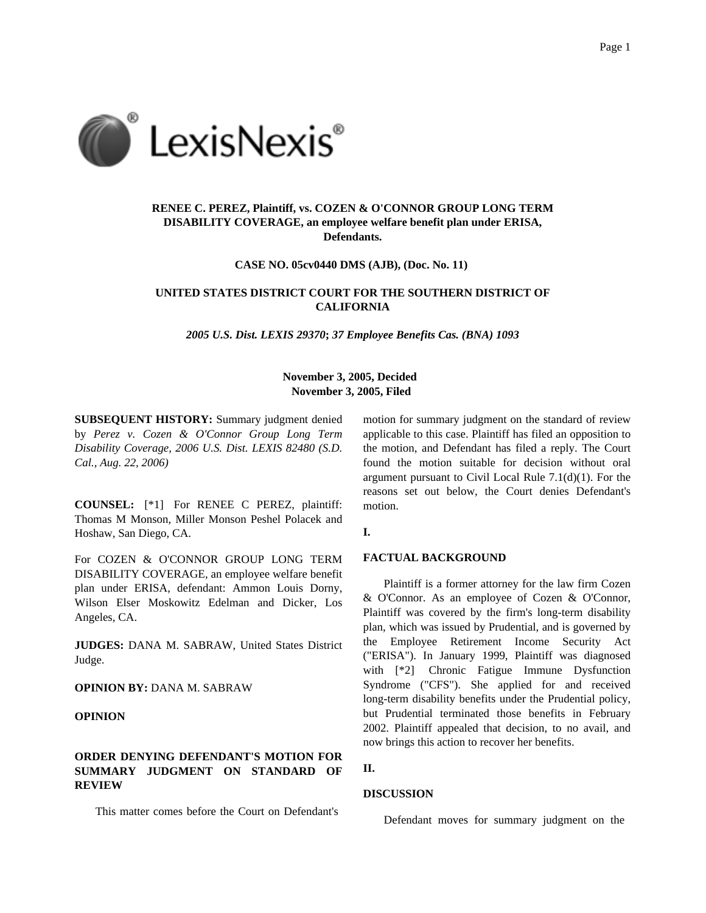

# **RENEE C. PEREZ, Plaintiff, vs. COZEN & O'CONNOR GROUP LONG TERM DISABILITY COVERAGE, an employee welfare benefit plan under ERISA, Defendants.**

**CASE NO. 05cv0440 DMS (AJB), (Doc. No. 11)**

## **UNITED STATES DISTRICT COURT FOR THE SOUTHERN DISTRICT OF CALIFORNIA**

*2005 U.S. Dist. LEXIS 29370***;** *37 Employee Benefits Cas. (BNA) 1093*

## **November 3, 2005, Decided November 3, 2005, Filed**

**SUBSEQUENT HISTORY:** Summary judgment denied by *Perez v. Cozen & O'Connor Group Long Term Disability Coverage, 2006 U.S. Dist. LEXIS 82480 (S.D. Cal., Aug. 22, 2006)*

**COUNSEL:** [\*1] For RENEE C PEREZ, plaintiff: Thomas M Monson, Miller Monson Peshel Polacek and Hoshaw, San Diego, CA.

For COZEN & O'CONNOR GROUP LONG TERM DISABILITY COVERAGE, an employee welfare benefit plan under ERISA, defendant: Ammon Louis Dorny, Wilson Elser Moskowitz Edelman and Dicker, Los Angeles, CA.

**JUDGES:** DANA M. SABRAW, United States District Judge.

**OPINION BY:** DANA M. SABRAW

# **OPINION**

# **ORDER DENYING DEFENDANT'S MOTION FOR SUMMARY JUDGMENT ON STANDARD OF REVIEW**

This matter comes before the Court on Defendant's

motion for summary judgment on the standard of review applicable to this case. Plaintiff has filed an opposition to the motion, and Defendant has filed a reply. The Court found the motion suitable for decision without oral argument pursuant to Civil Local Rule 7.1(d)(1). For the reasons set out below, the Court denies Defendant's motion.

## **I.**

# **FACTUAL BACKGROUND**

Plaintiff is a former attorney for the law firm Cozen & O'Connor. As an employee of Cozen & O'Connor, Plaintiff was covered by the firm's long-term disability plan, which was issued by Prudential, and is governed by the Employee Retirement Income Security Act ("ERISA"). In January 1999, Plaintiff was diagnosed with [\*2] Chronic Fatigue Immune Dysfunction Syndrome ("CFS"). She applied for and received long-term disability benefits under the Prudential policy, but Prudential terminated those benefits in February 2002. Plaintiff appealed that decision, to no avail, and now brings this action to recover her benefits.

#### **II.**

## **DISCUSSION**

Defendant moves for summary judgment on the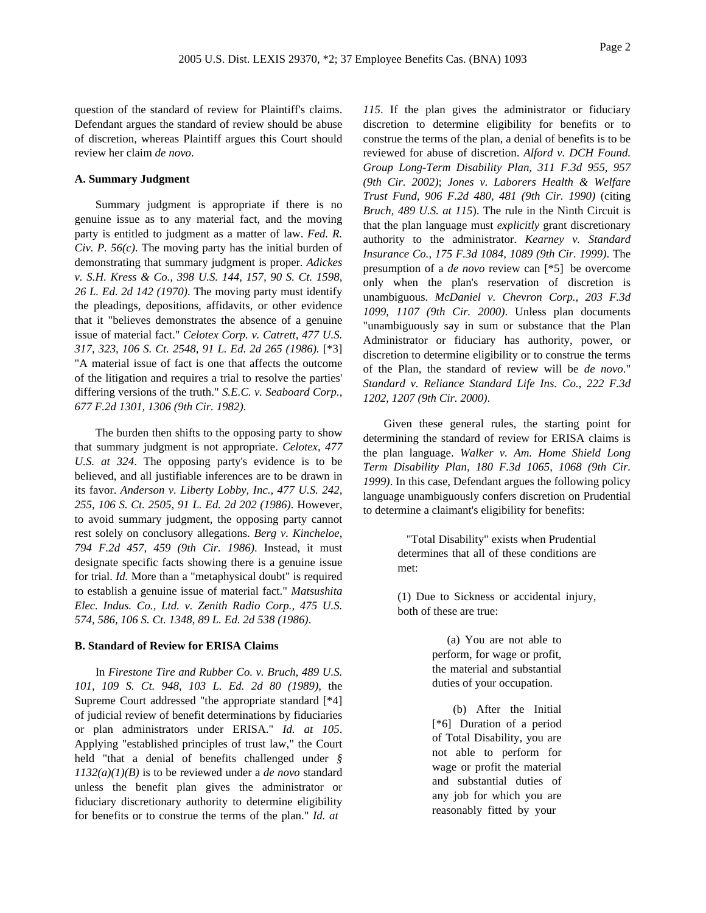question of the standard of review for Plaintiff's claims. Defendant argues the standard of review should be abuse of discretion, whereas Plaintiff argues this Court should review her claim *de novo*.

## **A. Summary Judgment**

Summary judgment is appropriate if there is no genuine issue as to any material fact, and the moving party is entitled to judgment as a matter of law. *Fed. R. Civ. P. 56(c)*. The moving party has the initial burden of demonstrating that summary judgment is proper. *Adickes v. S.H. Kress & Co., 398 U.S. 144, 157, 90 S. Ct. 1598, 26 L. Ed. 2d 142 (1970)*. The moving party must identify the pleadings, depositions, affidavits, or other evidence that it "believes demonstrates the absence of a genuine issue of material fact." *Celotex Corp. v. Catrett, 477 U.S. 317, 323, 106 S. Ct. 2548, 91 L. Ed. 2d 265 (1986).* [\*3] "A material issue of fact is one that affects the outcome of the litigation and requires a trial to resolve the parties' differing versions of the truth." *S.E.C. v. Seaboard Corp., 677 F.2d 1301, 1306 (9th Cir. 1982)*.

The burden then shifts to the opposing party to show that summary judgment is not appropriate. *Celotex, 477 U.S. at 324*. The opposing party's evidence is to be believed, and all justifiable inferences are to be drawn in its favor. *Anderson v. Liberty Lobby, Inc., 477 U.S. 242, 255, 106 S. Ct. 2505, 91 L. Ed. 2d 202 (1986)*. However, to avoid summary judgment, the opposing party cannot rest solely on conclusory allegations. *Berg v. Kincheloe, 794 F.2d 457, 459 (9th Cir. 1986)*. Instead, it must designate specific facts showing there is a genuine issue for trial. *Id.* More than a "metaphysical doubt" is required to establish a genuine issue of material fact." *Matsushita Elec. Indus. Co., Ltd. v. Zenith Radio Corp., 475 U.S. 574, 586, 106 S. Ct. 1348, 89 L. Ed. 2d 538 (1986)*.

## **B. Standard of Review for ERISA Claims**

In *Firestone Tire and Rubber Co. v. Bruch, 489 U.S. 101, 109 S. Ct. 948, 103 L. Ed. 2d 80 (1989)*, the Supreme Court addressed "the appropriate standard [\*4] of judicial review of benefit determinations by fiduciaries or plan administrators under ERISA." *Id. at 105*. Applying "established principles of trust law," the Court held "that a denial of benefits challenged under *§ 1132(a)(1)(B)* is to be reviewed under a *de novo* standard unless the benefit plan gives the administrator or fiduciary discretionary authority to determine eligibility for benefits or to construe the terms of the plan." *Id. at*

*115*. If the plan gives the administrator or fiduciary discretion to determine eligibility for benefits or to construe the terms of the plan, a denial of benefits is to be reviewed for abuse of discretion. *Alford v. DCH Found. Group Long-Term Disability Plan, 311 F.3d 955, 957 (9th Cir. 2002)*; *Jones v. Laborers Health & Welfare Trust Fund, 906 F.2d 480, 481 (9th Cir. 1990)* (citing *Bruch, 489 U.S. at 115*). The rule in the Ninth Circuit is that the plan language must *explicitly* grant discretionary authority to the administrator. *Kearney v. Standard Insurance Co., 175 F.3d 1084, 1089 (9th Cir. 1999)*. The presumption of a *de novo* review can [\*5] be overcome only when the plan's reservation of discretion is unambiguous. *McDaniel v. Chevron Corp., 203 F.3d 1099, 1107 (9th Cir. 2000)*. Unless plan documents "unambiguously say in sum or substance that the Plan Administrator or fiduciary has authority, power, or discretion to determine eligibility or to construe the terms of the Plan, the standard of review will be *de novo*." *Standard v. Reliance Standard Life Ins. Co., 222 F.3d 1202, 1207 (9th Cir. 2000)*.

Given these general rules, the starting point for determining the standard of review for ERISA claims is the plan language. *Walker v. Am. Home Shield Long Term Disability Plan, 180 F.3d 1065, 1068 (9th Cir. 1999)*. In this case, Defendant argues the following policy language unambiguously confers discretion on Prudential to determine a claimant's eligibility for benefits:

> "Total Disability" exists when Prudential determines that all of these conditions are met:

> (1) Due to Sickness or accidental injury, both of these are true:

> > (a) You are not able to perform, for wage or profit, the material and substantial duties of your occupation.

(b) After the Initial [\*6] Duration of a period of Total Disability, you are not able to perform for wage or profit the material and substantial duties of any job for which you are reasonably fitted by your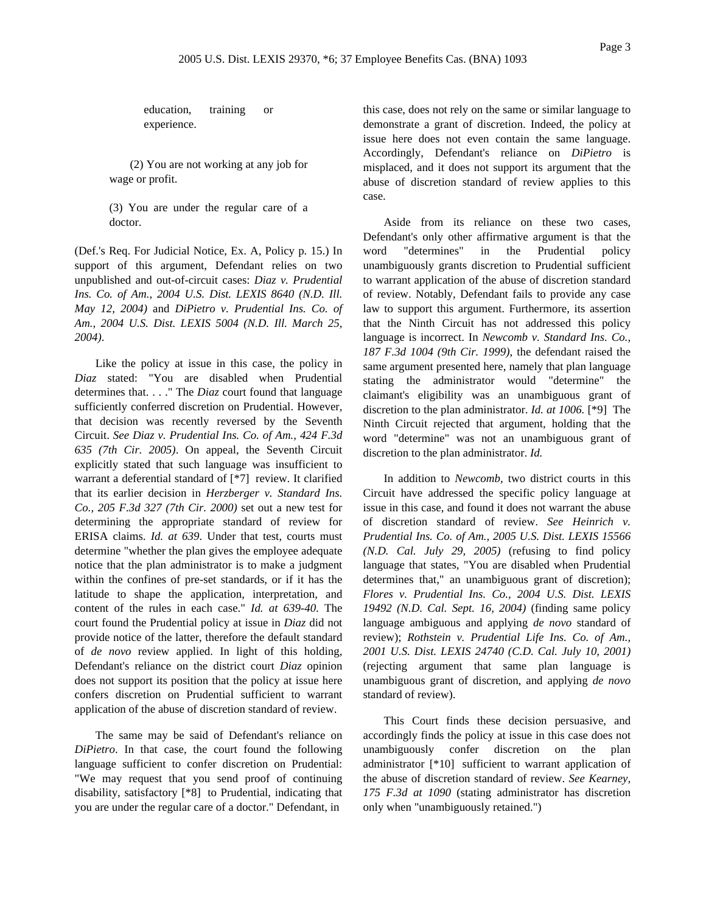education, training or experience.

(2) You are not working at any job for wage or profit.

(3) You are under the regular care of a doctor.

(Def.'s Req. For Judicial Notice, Ex. A, Policy p. 15.) In support of this argument, Defendant relies on two unpublished and out-of-circuit cases: *Diaz v. Prudential Ins. Co. of Am., 2004 U.S. Dist. LEXIS 8640 (N.D. Ill. May 12, 2004)* and *DiPietro v. Prudential Ins. Co. of Am., 2004 U.S. Dist. LEXIS 5004 (N.D. Ill. March 25, 2004)*.

Like the policy at issue in this case, the policy in *Diaz* stated: "You are disabled when Prudential determines that. . . ." The *Diaz* court found that language sufficiently conferred discretion on Prudential. However, that decision was recently reversed by the Seventh Circuit. *See Diaz v. Prudential Ins. Co. of Am., 424 F.3d 635 (7th Cir. 2005)*. On appeal, the Seventh Circuit explicitly stated that such language was insufficient to warrant a deferential standard of [\*7] review. It clarified that its earlier decision in *Herzberger v. Standard Ins. Co., 205 F.3d 327 (7th Cir. 2000)* set out a new test for determining the appropriate standard of review for ERISA claims. *Id. at 639*. Under that test, courts must determine "whether the plan gives the employee adequate notice that the plan administrator is to make a judgment within the confines of pre-set standards, or if it has the latitude to shape the application, interpretation, and content of the rules in each case." *Id. at 639-40*. The court found the Prudential policy at issue in *Diaz* did not provide notice of the latter, therefore the default standard of *de novo* review applied. In light of this holding, Defendant's reliance on the district court *Diaz* opinion does not support its position that the policy at issue here confers discretion on Prudential sufficient to warrant application of the abuse of discretion standard of review.

The same may be said of Defendant's reliance on *DiPietro*. In that case, the court found the following language sufficient to confer discretion on Prudential: "We may request that you send proof of continuing disability, satisfactory [\*8] to Prudential, indicating that you are under the regular care of a doctor." Defendant, in

this case, does not rely on the same or similar language to demonstrate a grant of discretion. Indeed, the policy at issue here does not even contain the same language. Accordingly, Defendant's reliance on *DiPietro* is misplaced, and it does not support its argument that the abuse of discretion standard of review applies to this case.

Aside from its reliance on these two cases, Defendant's only other affirmative argument is that the word "determines" in the Prudential policy unambiguously grants discretion to Prudential sufficient to warrant application of the abuse of discretion standard of review. Notably, Defendant fails to provide any case law to support this argument. Furthermore, its assertion that the Ninth Circuit has not addressed this policy language is incorrect. In *Newcomb v. Standard Ins. Co., 187 F.3d 1004 (9th Cir. 1999)*, the defendant raised the same argument presented here, namely that plan language stating the administrator would "determine" the claimant's eligibility was an unambiguous grant of discretion to the plan administrator. *Id. at 1006.* [\*9] The Ninth Circuit rejected that argument, holding that the word "determine" was not an unambiguous grant of discretion to the plan administrator. *Id.*

In addition to *Newcomb*, two district courts in this Circuit have addressed the specific policy language at issue in this case, and found it does not warrant the abuse of discretion standard of review. *See Heinrich v. Prudential Ins. Co. of Am., 2005 U.S. Dist. LEXIS 15566 (N.D. Cal. July 29, 2005)* (refusing to find policy language that states, "You are disabled when Prudential determines that," an unambiguous grant of discretion); *Flores v. Prudential Ins. Co., 2004 U.S. Dist. LEXIS 19492 (N.D. Cal. Sept. 16, 2004)* (finding same policy language ambiguous and applying *de novo* standard of review); *Rothstein v. Prudential Life Ins. Co. of Am., 2001 U.S. Dist. LEXIS 24740 (C.D. Cal. July 10, 2001)* (rejecting argument that same plan language is unambiguous grant of discretion, and applying *de novo* standard of review).

This Court finds these decision persuasive, and accordingly finds the policy at issue in this case does not unambiguously confer discretion on the plan administrator [\*10] sufficient to warrant application of the abuse of discretion standard of review. *See Kearney, 175 F.3d at 1090* (stating administrator has discretion only when "unambiguously retained.")